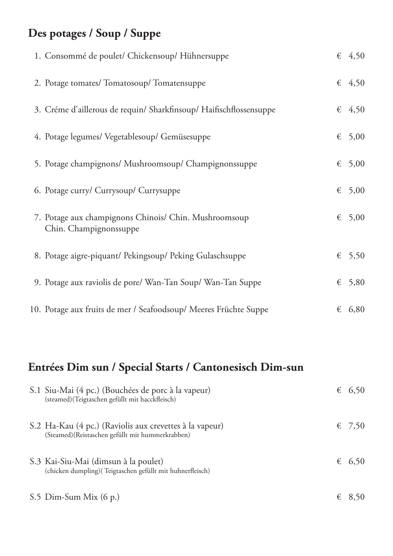## **Des potages / Soup / Suppe**

| 1. Consommé de poulet/ Chickensoup/ Hühnersuppe                                 |   | $\epsilon$ 4,50 |
|---------------------------------------------------------------------------------|---|-----------------|
| 2. Potage tomates/ Tomatosoup/ Tomatensuppe                                     |   | $\epsilon$ 4,50 |
| 3. Créme d'aillerous de requin/ Sharkfinsoup/ Haifischflossensuppe              |   | $\epsilon$ 4,50 |
| 4. Potage legumes/ Vegetablesoup/ Gemüsesuppe                                   | € | 5,00            |
| 5. Potage champignons/ Mushroomsoup/ Champignonssuppe                           | € | 5,00            |
| 6. Potage curry/ Currysoup/ Currysuppe                                          | € | 5,00            |
| 7. Potage aux champignons Chinois/ Chin. Mushroomsoup<br>Chin. Champignonssuppe | € | 5,00            |
| 8. Potage aigre-piquant/ Pekingsoup/ Peking Gulaschsuppe                        | € | 5,50            |
| 9. Potage aux raviolis de pore/ Wan-Tan Soup/ Wan-Tan Suppe                     | € | 5,80            |
| 10. Potage aux fruits de mer / Seafoodsoup/ Meeres Früchte Suppe                | € | 6,80            |

# **Entrées Dim sun / Special Starts / Cantonesisch Dim-sun**

| S.1 Siu-Mai (4 pc.) (Bouchées de porc à la vapeur)<br>(steamed) (Teigtaschen gefüllt mit hacckfleisch)      | € | 6,50   |
|-------------------------------------------------------------------------------------------------------------|---|--------|
| S.2 Ha-Kau (4 pc.) (Raviolis aux crevettes à la vapeur)<br>(Steamed)(Reistaschen gefüllt mit hummerkrabben) |   | € 7.50 |
| S.3 Kai-Siu-Mai (dimsun à la poulet)<br>(chicken dumpling) (Teigtaschen gefüllt mit huhnerfleisch)          |   | € 6,50 |
| $S.5$ Dim-Sum Mix $(6 p.)$                                                                                  | € |        |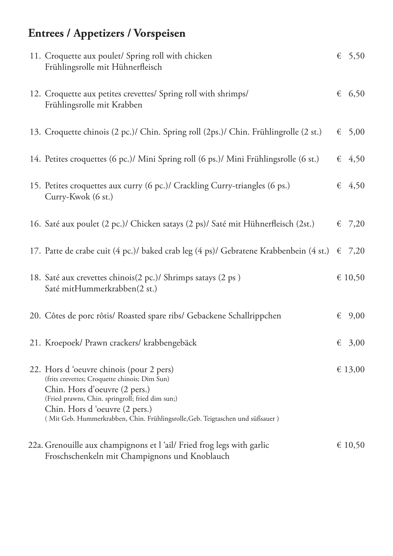# **Entrees / Appetizers / Vorspeisen**

| 11. Croquette aux poulet/ Spring roll with chicken<br>Frühlingsrolle mit Hühnerfleisch                                                                                                                                                                                                          |   | $\epsilon$ 5,50 |
|-------------------------------------------------------------------------------------------------------------------------------------------------------------------------------------------------------------------------------------------------------------------------------------------------|---|-----------------|
| 12. Croquette aux petites crevettes/ Spring roll with shrimps/<br>Frühlingsrolle mit Krabben                                                                                                                                                                                                    |   | $\epsilon$ 6,50 |
| 13. Croquette chinois (2 pc.)/ Chin. Spring roll (2ps.)/ Chin. Frühlingrolle (2 st.)                                                                                                                                                                                                            | € | 5,00            |
| 14. Petites croquettes (6 pc.)/ Mini Spring roll (6 ps.)/ Mini Frühlingsrolle (6 st.)                                                                                                                                                                                                           |   | $\epsilon$ 4,50 |
| 15. Petites croquettes aux curry (6 pc.)/ Crackling Curry-triangles (6 ps.)<br>Curry-Kwok (6 st.)                                                                                                                                                                                               |   | $\epsilon$ 4,50 |
| 16. Saté aux poulet (2 pc.)/ Chicken satays (2 ps)/ Saté mit Hühnerfleisch (2st.)                                                                                                                                                                                                               | € | 7,20            |
| 17. Patte de crabe cuit (4 pc.)/ baked crab leg (4 ps)/ Gebratene Krabbenbein (4 st.) $\epsilon$                                                                                                                                                                                                |   | 7,20            |
| 18. Saté aux crevettes chinois(2 pc.)/ Shrimps satays (2 ps)<br>Saté mitHummerkrabben(2 st.)                                                                                                                                                                                                    |   | € 10,50         |
| 20. Côtes de porc rôtis/ Roasted spare ribs/ Gebackene Schallrippchen                                                                                                                                                                                                                           | € | 9,00            |
| 21. Kroepoek/ Prawn crackers/ krabbengebäck                                                                                                                                                                                                                                                     |   | € 3,00          |
| 22. Hors d'oeuvre chinois (pour 2 pers)<br>(frits crevettes; Croquette chinois; Dim Sun)<br>Chin. Hors d'oeuvre (2 pers.)<br>(Fried prawns, Chin. springroll; fried dim sun;)<br>Chin. Hors d'oeuvre (2 pers.)<br>(Mit Geb. Hummerkrabben, Chin. Frühlingsrolle, Geb. Teigtaschen und süßsauer) |   | € 13,00         |
| 22a. Grenouille aux champignons et l 'ail/ Fried frog legs with garlic<br>Froschschenkeln mit Champignons und Knoblauch                                                                                                                                                                         |   | € 10,50         |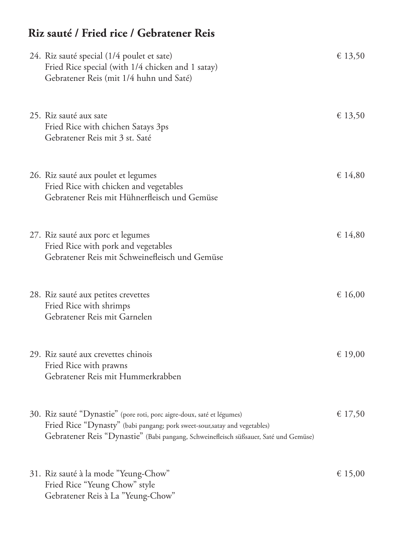### **Riz sauté / Fried rice / Gebratener Reis**

| 24. Riz sauté special (1/4 poulet et sate)<br>Fried Rice special (with 1/4 chicken and 1 satay)<br>Gebratener Reis (mit 1/4 huhn und Saté)                                                                                                   | € 13,50 |
|----------------------------------------------------------------------------------------------------------------------------------------------------------------------------------------------------------------------------------------------|---------|
| 25. Riz sauté aux sate<br>Fried Rice with chichen Satays 3ps<br>Gebratener Reis mit 3 st. Saté                                                                                                                                               | € 13,50 |
| 26. Riz sauté aux poulet et legumes<br>Fried Rice with chicken and vegetables<br>Gebratener Reis mit Hühnerfleisch und Gemüse                                                                                                                | € 14,80 |
| 27. Riz sauté aux porc et legumes<br>Fried Rice with pork and vegetables<br>Gebratener Reis mit Schweinefleisch und Gemüse                                                                                                                   | € 14,80 |
| 28. Riz sauté aux petites crevettes<br>Fried Rice with shrimps<br>Gebratener Reis mit Garnelen                                                                                                                                               | € 16,00 |
| 29. Riz sauté aux crevettes chinois<br>Fried Rice with prawns<br>Gebratener Reis mit Hummerkrabben                                                                                                                                           | € 19,00 |
| 30. Riz sauté "Dynastie" (pore roti, porc aigre-doux, saté et légumes)<br>Fried Rice "Dynasty" (babi pangang; pork sweet-sour, satay and vegetables)<br>Gebratener Reis "Dynastie" (Babi pangang, Schweinefleisch süßsauer, Saté und Gemüse) | € 17,50 |
| 31. Riz sauté à la mode "Yeung-Chow"<br>Fried Rice "Yeung Chow" style<br>Gebratener Reis à La "Yeung-Chow"                                                                                                                                   | € 15,00 |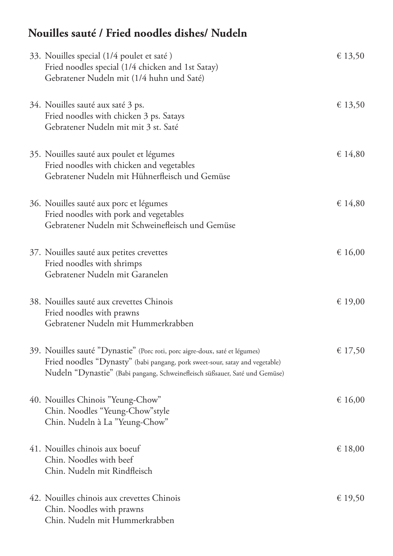## **Nouilles sauté / Fried noodles dishes/ Nudeln**

| 33. Nouilles special (1/4 poulet et saté)<br>Fried noodles special (1/4 chicken and 1st Satay)<br>Gebratener Nudeln mit (1/4 huhn und Saté)                                                                                                | € 13,50 |
|--------------------------------------------------------------------------------------------------------------------------------------------------------------------------------------------------------------------------------------------|---------|
| 34. Nouilles sauté aux saté 3 ps.<br>Fried noodles with chicken 3 ps. Satays<br>Gebratener Nudeln mit mit 3 st. Saté                                                                                                                       | € 13,50 |
| 35. Nouilles sauté aux poulet et légumes<br>Fried noodles with chicken and vegetables<br>Gebratener Nudeln mit Hühnerfleisch und Gemüse                                                                                                    | € 14,80 |
| 36. Nouilles sauté aux porc et légumes<br>Fried noodles with pork and vegetables<br>Gebratener Nudeln mit Schweinefleisch und Gemüse                                                                                                       | € 14,80 |
| 37. Nouilles sauté aux petites crevettes<br>Fried noodles with shrimps<br>Gebratener Nudeln mit Garanelen                                                                                                                                  | € 16,00 |
| 38. Nouilles sauté aux crevettes Chinois<br>Fried noodles with prawns<br>Gebratener Nudeln mit Hummerkrabben                                                                                                                               | € 19,00 |
| 39. Nouilles sauté "Dynastie" (Porc roti, porc aigre-doux, saté et légumes)<br>Fried noodles "Dynasty" (babi pangang, pork sweet-sour, satay and vegetable)<br>Nudeln "Dynastie" (Babi pangang, Schweinefleisch süßsauer, Saté und Gemüse) | € 17,50 |
| 40. Nouilles Chinois "Yeung-Chow"<br>Chin. Noodles "Yeung-Chow" style<br>Chin. Nudeln à La "Yeung-Chow"                                                                                                                                    | € 16,00 |
| 41. Nouilles chinois aux boeuf<br>Chin. Noodles with beef<br>Chin. Nudeln mit Rindfleisch                                                                                                                                                  | € 18,00 |
| 42. Nouilles chinois aux crevettes Chinois<br>Chin. Noodles with prawns<br>Chin. Nudeln mit Hummerkrabben                                                                                                                                  | € 19,50 |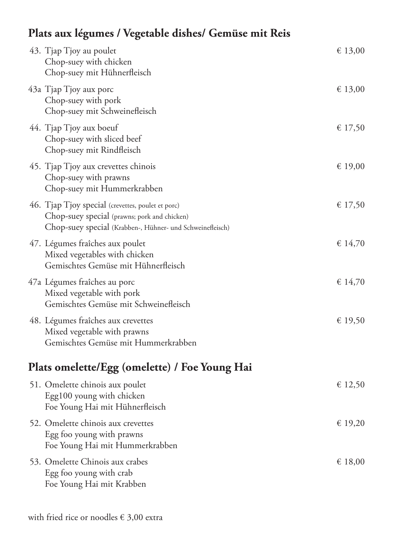## **Plats aux légumes / Vegetable dishes/ Gemüse mit Reis**

| 43. Tjap Tjoy au poulet<br>Chop-suey with chicken<br>Chop-suey mit Hühnerfleisch                                                                               | € 13,00 |
|----------------------------------------------------------------------------------------------------------------------------------------------------------------|---------|
| 43a Tjap Tjoy aux porc<br>Chop-suey with pork<br>Chop-suey mit Schweinefleisch                                                                                 | € 13,00 |
| 44. Tjap Tjoy aux boeuf<br>Chop-suey with sliced beef<br>Chop-suey mit Rindfleisch                                                                             | € 17,50 |
| 45. Tjap Tjoy aux crevettes chinois<br>Chop-suey with prawns<br>Chop-suey mit Hummerkrabben                                                                    | € 19,00 |
| 46. Tjap Tjoy special (crevettes, poulet et porc)<br>Chop-suey special (prawns; pork and chicken)<br>Chop-suey special (Krabben-, Hühner- und Schweinefleisch) | € 17,50 |
| 47. Légumes fraîches aux poulet<br>Mixed vegetables with chicken<br>Gemischtes Gemüse mit Hühnerfleisch                                                        | \$14,70 |
| 47a Légumes fraîches au porc<br>Mixed vegetable with pork<br>Gemischtes Gemüse mit Schweinefleisch                                                             | € 14,70 |
| 48. Légumes fraîches aux crevettes<br>Mixed vegetable with prawns<br>Gemischtes Gemüse mit Hummerkrabben                                                       | € 19,50 |
| Plats omelette/Egg (omelette) / Foe Young Hai                                                                                                                  |         |
| 51. Omelette chinois aux poulet<br>Egg100 young with chicken<br>Foe Young Hai mit Hühnerfleisch                                                                | € 12,50 |
| 52. Omelette chinois aux crevettes<br>Egg foo young with prawns<br>Foe Young Hai mit Hummerkrabben                                                             | € 19,20 |
| 53. Omelette Chinois aux crabes                                                                                                                                | € 18,00 |

 Egg foo young with crab Foe Young Hai mit Krabben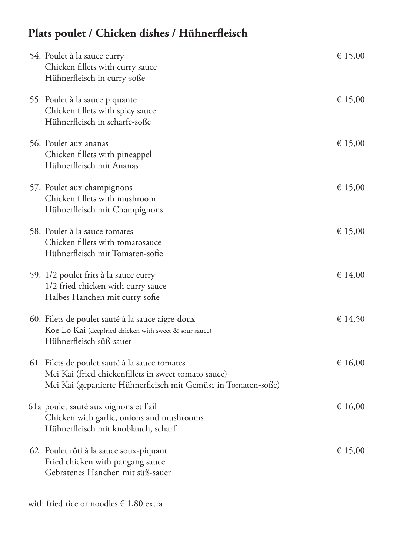## **Plats poulet / Chicken dishes / Hühner!eisch**

| 54. Poulet à la sauce curry<br>Chicken fillets with curry sauce<br>Hühnerfleisch in curry-soße                                                                         | € 15,00 |
|------------------------------------------------------------------------------------------------------------------------------------------------------------------------|---------|
| 55. Poulet à la sauce piquante<br>Chicken fillets with spicy sauce<br>Hühnerfleisch in scharfe-soße                                                                    | € 15,00 |
| 56. Poulet aux ananas<br>Chicken fillets with pineappel<br>Hühnerfleisch mit Ananas                                                                                    | € 15,00 |
| 57. Poulet aux champignons<br>Chicken fillets with mushroom<br>Hühnerfleisch mit Champignons                                                                           | € 15,00 |
| 58. Poulet à la sauce tomates<br>Chicken fillets with tomatosauce<br>Hühnerfleisch mit Tomaten-sofie                                                                   | € 15,00 |
| 59. 1/2 poulet frits à la sauce curry<br>1/2 fried chicken with curry sauce<br>Halbes Hanchen mit curry-sofie                                                          | € 14,00 |
| 60. Filets de poulet sauté à la sauce aigre-doux<br>Koe Lo Kai (deepfried chicken with sweet & sour sauce)<br>Hühnerfleisch süß-sauer                                  | € 14,50 |
| 61. Filets de poulet sauté à la sauce tomates<br>Mei Kai (fried chickenfillets in sweet tomato sauce)<br>Mei Kai (gepanierte Hühnerfleisch mit Gemüse in Tomaten-soße) | € 16,00 |
| 61a poulet sauté aux oignons et l'ail<br>Chicken with garlic, onions and mushrooms<br>Hühnerfleisch mit knoblauch, scharf                                              | € 16,00 |
| 62. Poulet rôti à la sauce soux-piquant<br>Fried chicken with pangang sauce<br>Gebratenes Hanchen mit süß-sauer                                                        | € 15,00 |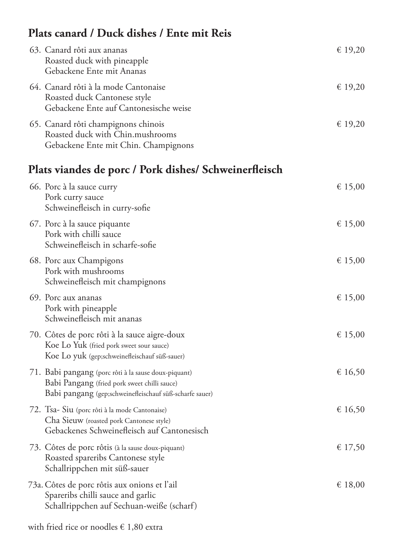## **Plats canard / Duck dishes / Ente mit Reis**

| 63. Canard rôti aux ananas<br>Roasted duck with pineapple<br>Gebackene Ente mit Ananas                          | € 19,20 |
|-----------------------------------------------------------------------------------------------------------------|---------|
| 64. Canard rôti à la mode Cantonaise<br>Roasted duck Cantonese style<br>Gebackene Ente auf Cantonesische weise  | € 19,20 |
| 65. Canard rôti champignons chinois<br>Roasted duck with Chin.mushrooms<br>Gebackene Ente mit Chin. Champignons | € 19,20 |

## **Plats viandes de porc / Pork dishes/ Schweiner!eisch**

| 66. Porc à la sauce curry<br>Pork curry sauce<br>Schweinefleisch in curry-sofie                                                                                 | € 15,00 |
|-----------------------------------------------------------------------------------------------------------------------------------------------------------------|---------|
| 67. Porc à la sauce piquante<br>Pork with chilli sauce<br>Schweinefleisch in scharfe-sofie                                                                      | € 15,00 |
| 68. Porc aux Champigons<br>Pork with mushrooms<br>Schweinefleisch mit champignons                                                                               | € 15,00 |
| 69. Porc aux ananas<br>Pork with pineapple<br>Schweinefleisch mit ananas                                                                                        | € 15,00 |
| 70. Côtes de porc rôti à la sauce aigre-doux<br>Koe Lo Yuk (fried pork sweet sour sauce)<br>Koe Lo yuk (gep;schweinefleischauf süß-sauer)                       | € 15,00 |
| 71. Babi pangang (porc rôti à la sause doux-piquant)<br>Babi Pangang (fried pork sweet chilli sauce)<br>Babi pangang (gep;schweinefleischauf süß-scharfe sauer) | € 16,50 |
| 72. Tsa- Siu (porc rôti à la mode Cantonaise)<br>Cha Sieuw (roasted pork Cantonese style)<br>Gebackenes Schweinefleisch auf Cantonesisch                        | € 16,50 |
| 73. Côtes de porc rôtis (à la sause doux-piquant)<br>Roasted spareribs Cantonese style<br>Schallrippchen mit süß-sauer                                          | € 17,50 |
| 73a. Côtes de porc rôtis aux onions et l'ail<br>Spareribs chilli sauce and garlic<br>Schallrippchen auf Sechuan-weiße (scharf)                                  | € 18,00 |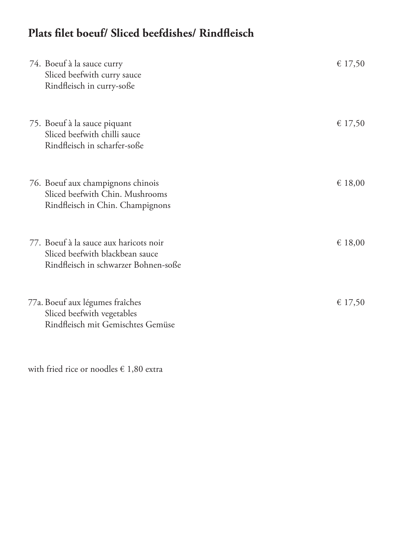## **Plats "let boeuf/ Sliced beefdishes/ Rind!eisch**

| 74. Boeuf à la sauce curry<br>Sliced beefwith curry sauce<br>Rindfleisch in curry-soße                            | € 17,50 |
|-------------------------------------------------------------------------------------------------------------------|---------|
| 75. Boeuf à la sauce piquant<br>Sliced beefwith chilli sauce<br>Rindfleisch in scharfer-soße                      | € 17,50 |
| 76. Boeuf aux champignons chinois<br>Sliced beefwith Chin. Mushrooms<br>Rindfleisch in Chin. Champignons          | € 18,00 |
| 77. Boeuf à la sauce aux haricots noir<br>Sliced beefwith blackbean sauce<br>Rindfleisch in schwarzer Bohnen-soße | € 18,00 |
| 77a. Boeuf aux légumes fraîches<br>Sliced beefwith vegetables<br>Rindfleisch mit Gemischtes Gemüse                | € 17,50 |

with fried rice or noodles € 1,80 extra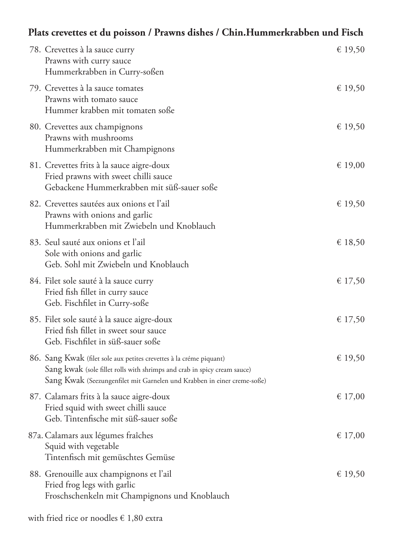#### **Plats crevettes et du poisson / Prawns dishes / Chin.Hummerkrabben und Fisch**

| 78. Crevettes à la sauce curry<br>Prawns with curry sauce<br>Hummerkrabben in Curry-soßen                                                                                                                                  | € 19,50 |
|----------------------------------------------------------------------------------------------------------------------------------------------------------------------------------------------------------------------------|---------|
| 79. Crevettes à la sauce tomates<br>Prawns with tomato sauce<br>Hummer krabben mit tomaten soße                                                                                                                            | € 19,50 |
| 80. Crevettes aux champignons<br>Prawns with mushrooms<br>Hummerkrabben mit Champignons                                                                                                                                    | € 19,50 |
| 81. Crevettes frits à la sauce aigre-doux<br>Fried prawns with sweet chilli sauce<br>Gebackene Hummerkrabben mit süß-sauer soße                                                                                            | € 19,00 |
| 82. Crevettes sautées aux onions et l'ail<br>Prawns with onions and garlic<br>Hummerkrabben mit Zwiebeln und Knoblauch                                                                                                     | € 19,50 |
| 83. Seul sauté aux onions et l'ail<br>Sole with onions and garlic<br>Geb. Sohl mit Zwiebeln und Knoblauch                                                                                                                  | € 18,50 |
| 84. Filet sole sauté à la sauce curry<br>Fried fish fillet in curry sauce<br>Geb. Fischfilet in Curry-soße                                                                                                                 | € 17,50 |
| 85. Filet sole sauté à la sauce aigre-doux<br>Fried fish fillet in sweet sour sauce<br>Geb. Fischfilet in süß-sauer soße                                                                                                   | € 17,50 |
| 86. Sang Kwak (filet sole aux petites crevettes à la créme piquant)<br>Sang kwak (sole fillet rolls with shrimps and crab in spicy cream sauce)<br>Sang Kwak (Seezungenfilet mit Garnelen und Krabben in einer creme-soße) | € 19,50 |
| 87. Calamars frits à la sauce aigre-doux<br>Fried squid with sweet chilli sauce<br>Geb. Tintenfische mit süß-sauer soße                                                                                                    | € 17,00 |
| 87a. Calamars aux légumes fraîches<br>Squid with vegetable<br>Tintenfisch mit gemüschtes Gemüse                                                                                                                            | € 17,00 |
| 88. Grenouille aux champignons et l'ail<br>Fried frog legs with garlic<br>Froschschenkeln mit Champignons und Knoblauch                                                                                                    | € 19,50 |

with fried rice or noodles  $\in$  1,80 extra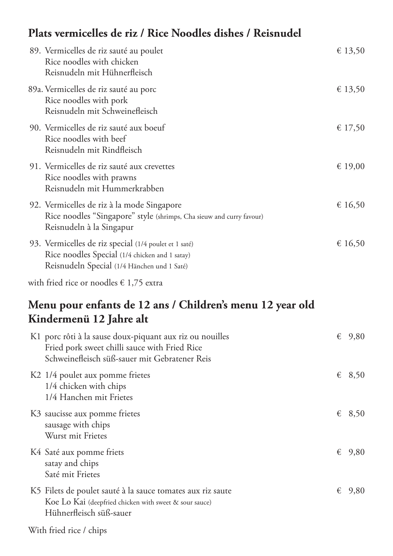#### **Plats vermicelles de riz / Rice Noodles dishes / Reisnudel**

| 89. Vermicelles de riz sauté au poulet<br>Rice noodles with chicken<br>Reisnudeln mit Hühnerfleisch                                                    | € 13,50 |
|--------------------------------------------------------------------------------------------------------------------------------------------------------|---------|
| 89a. Vermicelles de riz sauté au porc<br>Rice noodles with pork<br>Reisnudeln mit Schweinefleisch                                                      | € 13,50 |
| 90. Vermicelles de riz sauté aux boeuf<br>Rice noodles with beef<br>Reisnudeln mit Rindfleisch                                                         | € 17,50 |
| 91. Vermicelles de riz sauté aux crevettes<br>Rice noodles with prawns<br>Reisnudeln mit Hummerkrabben                                                 | € 19,00 |
| 92. Vermicelles de riz à la mode Singapore<br>Rice noodles "Singapore" style (shrimps, Cha sieuw and curry favour)<br>Reisnudeln à la Singapur         | € 16,50 |
| 93. Vermicelles de riz special (1/4 poulet et 1 saté)<br>Rice noodles Special (1/4 chicken and 1 satay)<br>Reisnudeln Special (1/4 Hänchen und 1 Saté) | € 16,50 |

with fried rice or noodles € 1,75 extra

### **Menu pour enfants de 12 ans / Children's menu 12 year old Kindermenü 12 Jahre alt**

| K1 porc rôti à la sause doux-piquant aux riz ou nouilles<br>Fried pork sweet chilli sauce with Fried Rice<br>Schweinefleisch süß-sauer mit Gebratener Reis | € | 9,80            |
|------------------------------------------------------------------------------------------------------------------------------------------------------------|---|-----------------|
| K <sub>2</sub> 1/4 poulet aux pomme frietes<br>1/4 chicken with chips<br>1/4 Hanchen mit Frietes                                                           | € | 8,50            |
| K3 saucisse aux pomme frietes<br>sausage with chips<br>Wurst mit Frietes                                                                                   |   | $\epsilon$ 8,50 |
| K4 Saté aux pomme friets<br>satay and chips<br>Saté mit Frietes                                                                                            | € | 9,80            |
| K5 Filets de poulet sauté à la sauce tomates aux riz saute<br>Koe Lo Kai (deepfried chicken with sweet & sour sauce)<br>Hühnerfleisch süß-sauer            | € | 9,80            |

With fried rice / chips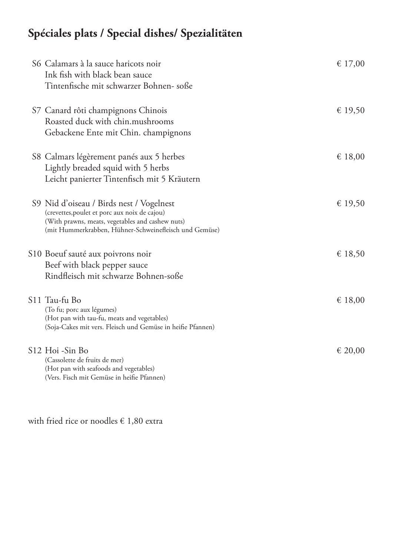# **Spéciales plats / Special dishes/ Spezialitäten**

| S6 Calamars à la sauce haricots noir<br>Ink fish with black bean sauce<br>Tintenfische mit schwarzer Bohnen- soße                                                                                       | € 17,00 |
|---------------------------------------------------------------------------------------------------------------------------------------------------------------------------------------------------------|---------|
| S7 Canard rôti champignons Chinois<br>Roasted duck with chin.mushrooms<br>Gebackene Ente mit Chin. champignons                                                                                          | € 19,50 |
| S8 Calmars légèrement panés aux 5 herbes<br>Lightly breaded squid with 5 herbs<br>Leicht panierter Tintenfisch mit 5 Kräutern                                                                           | € 18,00 |
| S9 Nid d'oiseau / Birds nest / Vogelnest<br>(crevettes, poulet et porc aux noix de cajou)<br>(With prawns, meats, vegetables and cashew nuts)<br>(mit Hummerkrabben, Hühner-Schweinefleisch und Gemüse) | € 19,50 |
| S10 Boeuf sauté aux poivrons noir<br>Beef with black pepper sauce<br>Rindfleisch mit schwarze Bohnen-soße                                                                                               | € 18,50 |
| S11 Tau-fu Bo<br>(To fu; porc aux légumes)<br>(Hot pan with tau-fu, meats and vegetables)<br>(Soja-Cakes mit vers. Fleisch und Gemüse in heifie Pfannen)                                                | € 18,00 |
| S12 Hoi -Sin Bo<br>(Cassolette de fruits de mer)<br>(Hot pan with seafoods and vegetables)<br>(Vers. Fisch mit Gemüse in heifie Pfannen)                                                                | € 20,00 |

with fried rice or noodles  $\in$  1,80 extra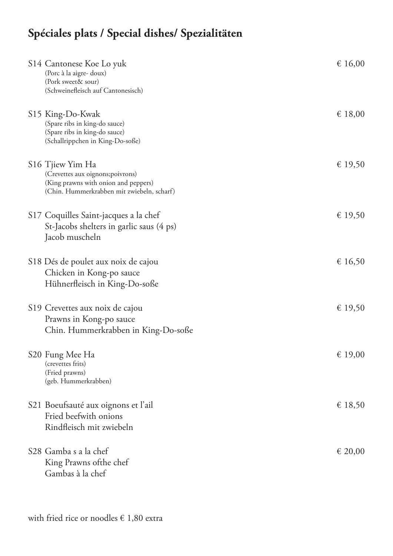# **Spéciales plats / Special dishes/ Spezialitäten**

| S14 Cantonese Koe Lo yuk<br>(Porc à la aigre- doux)<br>(Pork sweet& sour)<br>(Schweinefleisch auf Cantonesisch)                                         | € 16,00 |
|---------------------------------------------------------------------------------------------------------------------------------------------------------|---------|
| S15 King-Do-Kwak<br>(Spare ribs in king-do sauce)<br>(Spare ribs in king-do sauce)<br>(Schallrippchen in King-Do-soße)                                  | € 18,00 |
| S <sub>16</sub> Tjiew Yim Ha<br>(Crevettes aux oignons; poivrons)<br>(King prawns with onion and peppers)<br>(Chin. Hummerkrabben mit zwiebeln, scharf) | € 19,50 |
| S17 Coquilles Saint-jacques a la chef<br>St-Jacobs shelters in garlic saus (4 ps)<br>Jacob muscheln                                                     | € 19,50 |
| S18 Dés de poulet aux noix de cajou<br>Chicken in Kong-po sauce<br>Hühnerfleisch in King-Do-soße                                                        | € 16,50 |
| S19 Crevettes aux noix de cajou<br>Prawns in Kong-po sauce<br>Chin. Hummerkrabben in King-Do-soße                                                       | € 19,50 |
| S20 Fung Mee Ha<br>(crevettes frits)<br>(Fried prawns)<br>(geb. Hummerkrabben)                                                                          | € 19,00 |
| S21 Boeufsauté aux oignons et l'ail<br>Fried beefwith onions<br>Rindfleisch mit zwiebeln                                                                | € 18,50 |
| S28 Gamba s a la chef<br>King Prawns of the chef<br>Gambas à la chef                                                                                    | € 20,00 |